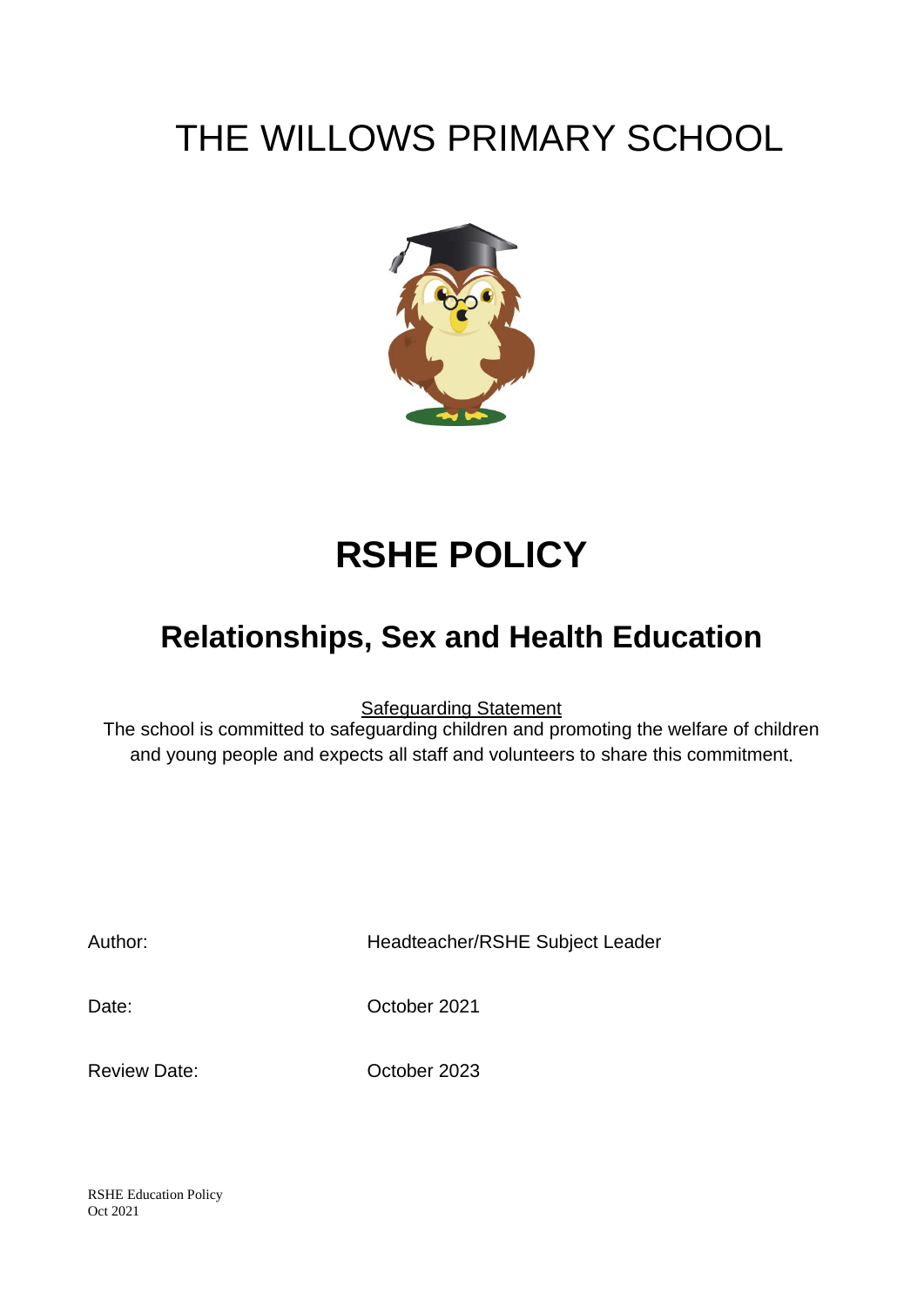## THE WILLOWS PRIMARY SCHOOL



# **RSHE POLICY**

## **Relationships, Sex and Health Education**

Safeguarding Statement

The school is committed to safeguarding children and promoting the welfare of children and young people and expects all staff and volunteers to share this commitment.

Author: Headteacher/RSHE Subject Leader

Date: Corober 2021

Review Date: October 2023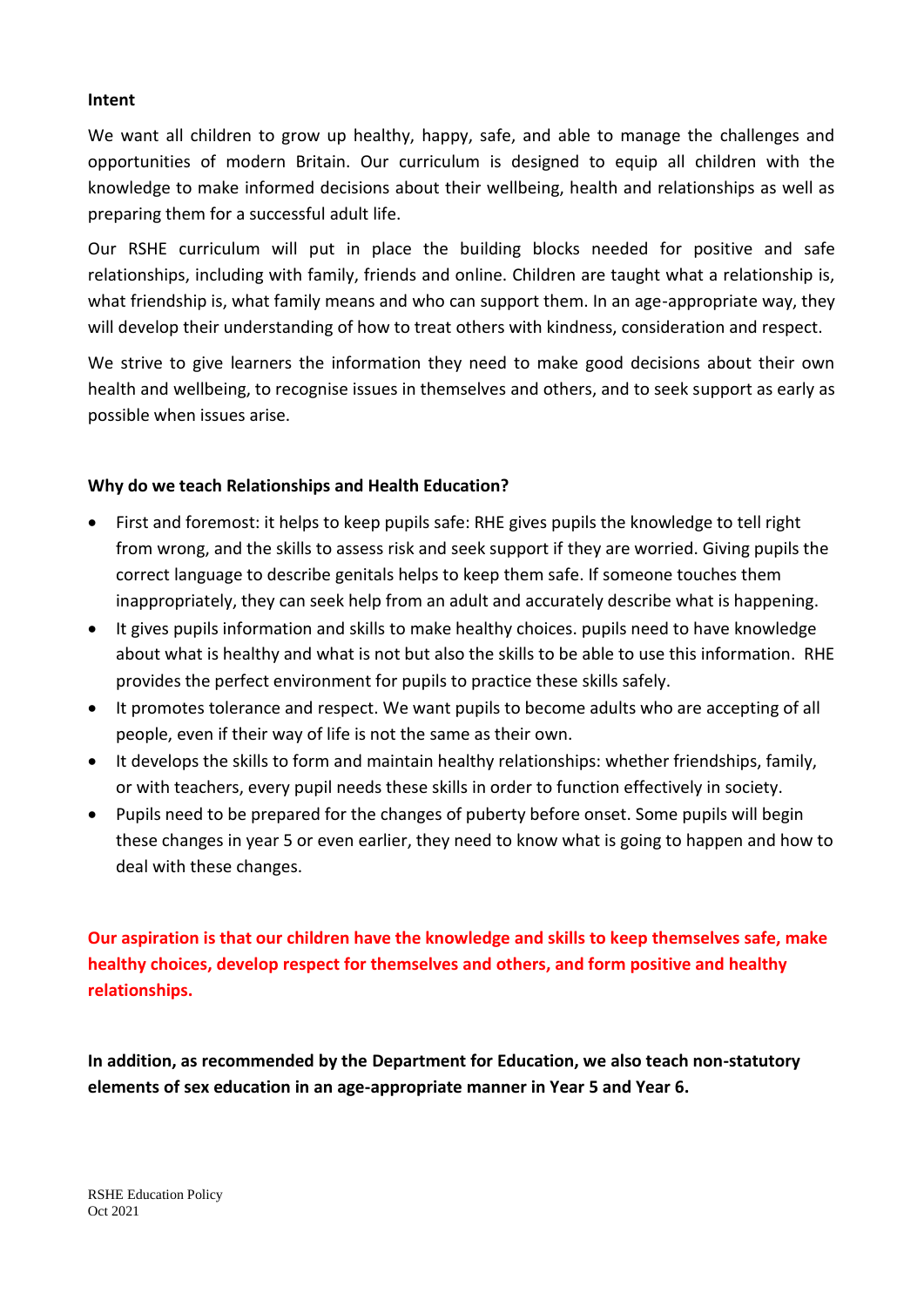#### **Intent**

We want all children to grow up healthy, happy, safe, and able to manage the challenges and opportunities of modern Britain. Our curriculum is designed to equip all children with the knowledge to make informed decisions about their wellbeing, health and relationships as well as preparing them for a successful adult life.

Our RSHE curriculum will put in place the building blocks needed for positive and safe relationships, including with family, friends and online. Children are taught what a relationship is, what friendship is, what family means and who can support them. In an age-appropriate way, they will develop their understanding of how to treat others with kindness, consideration and respect.

We strive to give learners the information they need to make good decisions about their own health and wellbeing, to recognise issues in themselves and others, and to seek support as early as possible when issues arise.

#### **Why do we teach Relationships and Health Education?**

- First and foremost: it helps to keep pupils safe: RHE gives pupils the knowledge to tell right from wrong, and the skills to assess risk and seek support if they are worried. Giving pupils the correct language to describe genitals helps to keep them safe. If someone touches them inappropriately, they can seek help from an adult and accurately describe what is happening.
- It gives pupils information and skills to make healthy choices. pupils need to have knowledge about what is healthy and what is not but also the skills to be able to use this information. RHE provides the perfect environment for pupils to practice these skills safely.
- It promotes tolerance and respect. We want pupils to become adults who are accepting of all people, even if their way of life is not the same as their own.
- It develops the skills to form and maintain healthy relationships: whether friendships, family, or with teachers, every pupil needs these skills in order to function effectively in society.
- Pupils need to be prepared for the changes of puberty before onset. Some pupils will begin these changes in year 5 or even earlier, they need to know what is going to happen and how to deal with these changes.

**Our aspiration is that our children have the knowledge and skills to keep themselves safe, make healthy choices, develop respect for themselves and others, and form positive and healthy relationships.**

**In addition, as recommended by the Department for Education, we also teach non-statutory elements of sex education in an age-appropriate manner in Year 5 and Year 6.**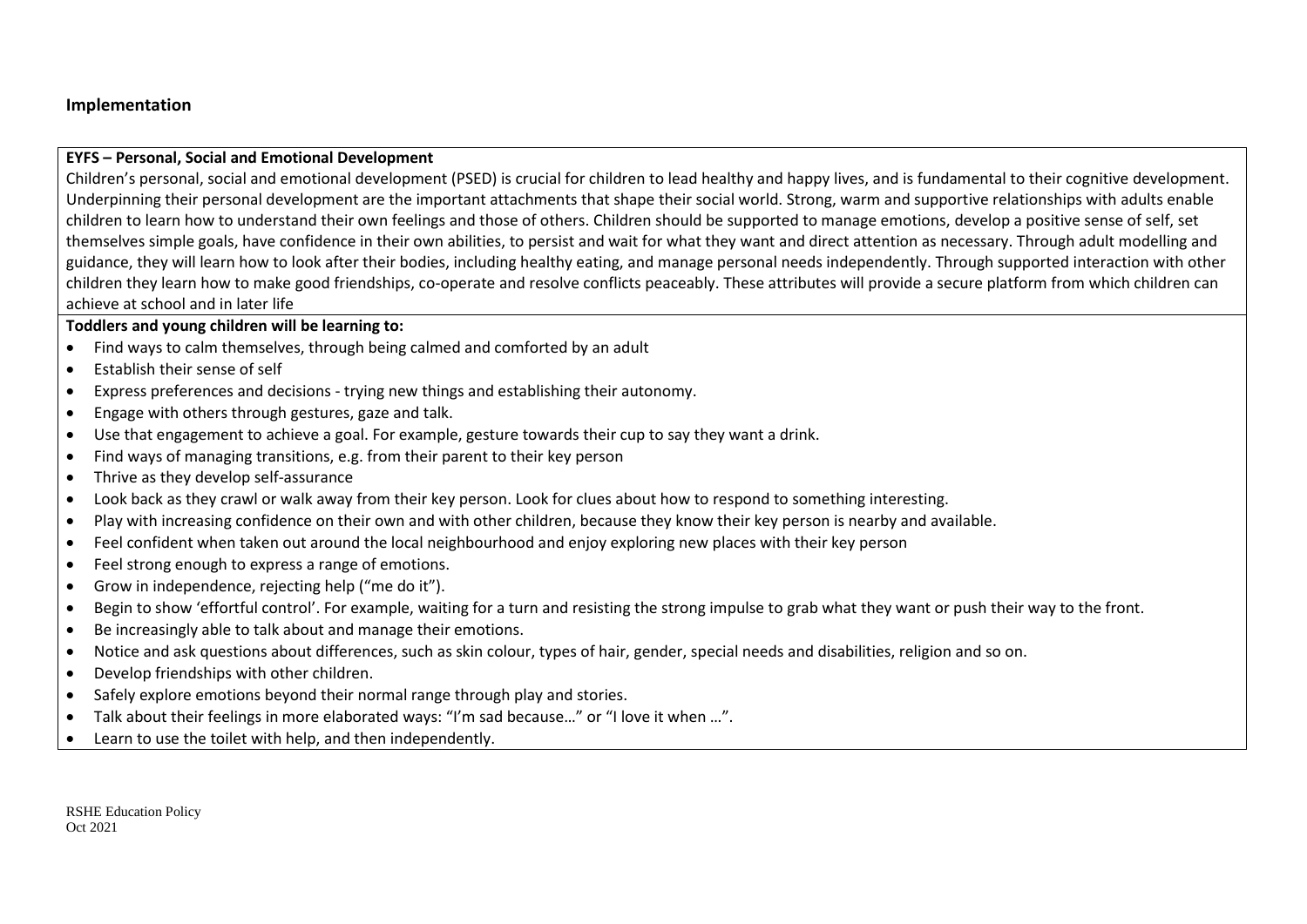#### **Implementation**

#### **EYFS – Personal, Social and Emotional Development**

Children's personal, social and emotional development (PSED) is crucial for children to lead healthy and happy lives, and is fundamental to their cognitive development. Underpinning their personal development are the important attachments that shape their social world. Strong, warm and supportive relationships with adults enable children to learn how to understand their own feelings and those of others. Children should be supported to manage emotions, develop a positive sense of self, set themselves simple goals, have confidence in their own abilities, to persist and wait for what they want and direct attention as necessary. Through adult modelling and guidance, they will learn how to look after their bodies, including healthy eating, and manage personal needs independently. Through supported interaction with other children they learn how to make good friendships, co-operate and resolve conflicts peaceably. These attributes will provide a secure platform from which children can achieve at school and in later life

#### **Toddlers and young children will be learning to:**

- Find ways to calm themselves, through being calmed and comforted by an adult
- Establish their sense of self
- Express preferences and decisions trying new things and establishing their autonomy.
- Engage with others through gestures, gaze and talk.
- Use that engagement to achieve a goal. For example, gesture towards their cup to say they want a drink.
- Find ways of managing transitions, e.g. from their parent to their key person
- Thrive as they develop self-assurance
- Look back as they crawl or walk away from their key person. Look for clues about how to respond to something interesting.
- Play with increasing confidence on their own and with other children, because they know their key person is nearby and available.
- Feel confident when taken out around the local neighbourhood and enjoy exploring new places with their key person
- Feel strong enough to express a range of emotions.
- Grow in independence, rejecting help ("me do it").
- Begin to show 'effortful control'. For example, waiting for a turn and resisting the strong impulse to grab what they want or push their way to the front.
- Be increasingly able to talk about and manage their emotions.
- Notice and ask questions about differences, such as skin colour, types of hair, gender, special needs and disabilities, religion and so on.
- Develop friendships with other children.
- Safely explore emotions beyond their normal range through play and stories.
- Talk about their feelings in more elaborated ways: "I'm sad because..." or "I love it when ...".
- Learn to use the toilet with help, and then independently.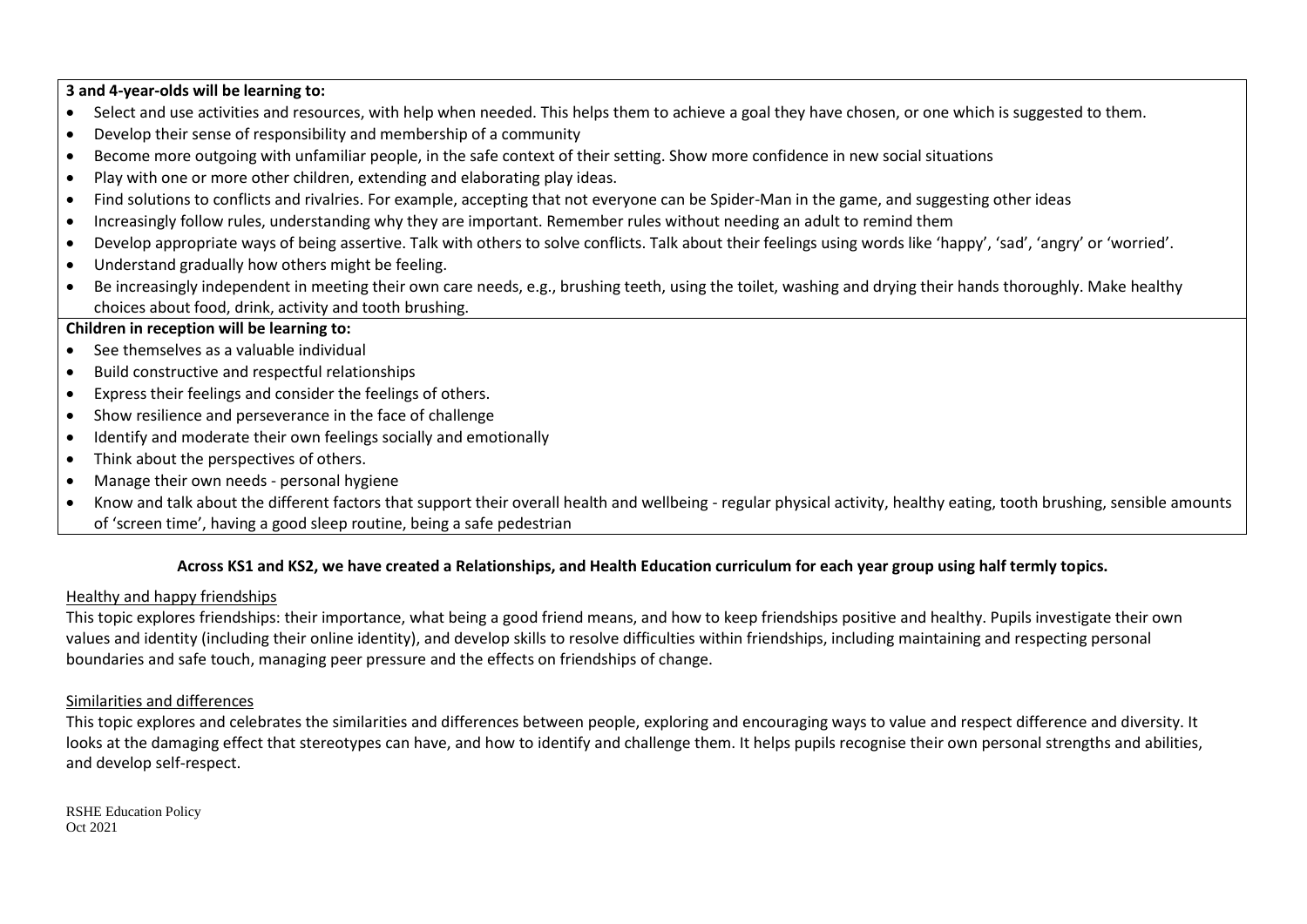**3 and 4-year-olds will be learning to:**

- Select and use activities and resources, with help when needed. This helps them to achieve a goal they have chosen, or one which is suggested to them.
- Develop their sense of responsibility and membership of a community
- Become more outgoing with unfamiliar people, in the safe context of their setting. Show more confidence in new social situations
- Play with one or more other children, extending and elaborating play ideas.
- Find solutions to conflicts and rivalries. For example, accepting that not everyone can be Spider-Man in the game, and suggesting other ideas
- Increasingly follow rules, understanding why they are important. Remember rules without needing an adult to remind them
- Develop appropriate ways of being assertive. Talk with others to solve conflicts. Talk about their feelings using words like 'happy', 'sad', 'angry' or 'worried'.
- Understand gradually how others might be feeling.
- Be increasingly independent in meeting their own care needs, e.g., brushing teeth, using the toilet, washing and drying their hands thoroughly. Make healthy choices about food, drink, activity and tooth brushing.

#### **Children in reception will be learning to:**

- See themselves as a valuable individual
- Build constructive and respectful relationships
- Express their feelings and consider the feelings of others.
- Show resilience and perseverance in the face of challenge
- Identify and moderate their own feelings socially and emotionally
- Think about the perspectives of others.
- Manage their own needs personal hygiene
- Know and talk about the different factors that support their overall health and wellbeing regular physical activity, healthy eating, tooth brushing, sensible amounts of 'screen time', having a good sleep routine, being a safe pedestrian

#### **Across KS1 and KS2, we have created a Relationships, and Health Education curriculum for each year group using half termly topics.**

#### Healthy and happy friendships

This topic explores friendships: their importance, what being a good friend means, and how to keep friendships positive and healthy. Pupils investigate their own values and identity (including their online identity), and develop skills to resolve difficulties within friendships, including maintaining and respecting personal boundaries and safe touch, managing peer pressure and the effects on friendships of change.

#### Similarities and differences

This topic explores and celebrates the similarities and differences between people, exploring and encouraging ways to value and respect difference and diversity. It looks at the damaging effect that stereotypes can have, and how to identify and challenge them. It helps pupils recognise their own personal strengths and abilities, and develop self-respect.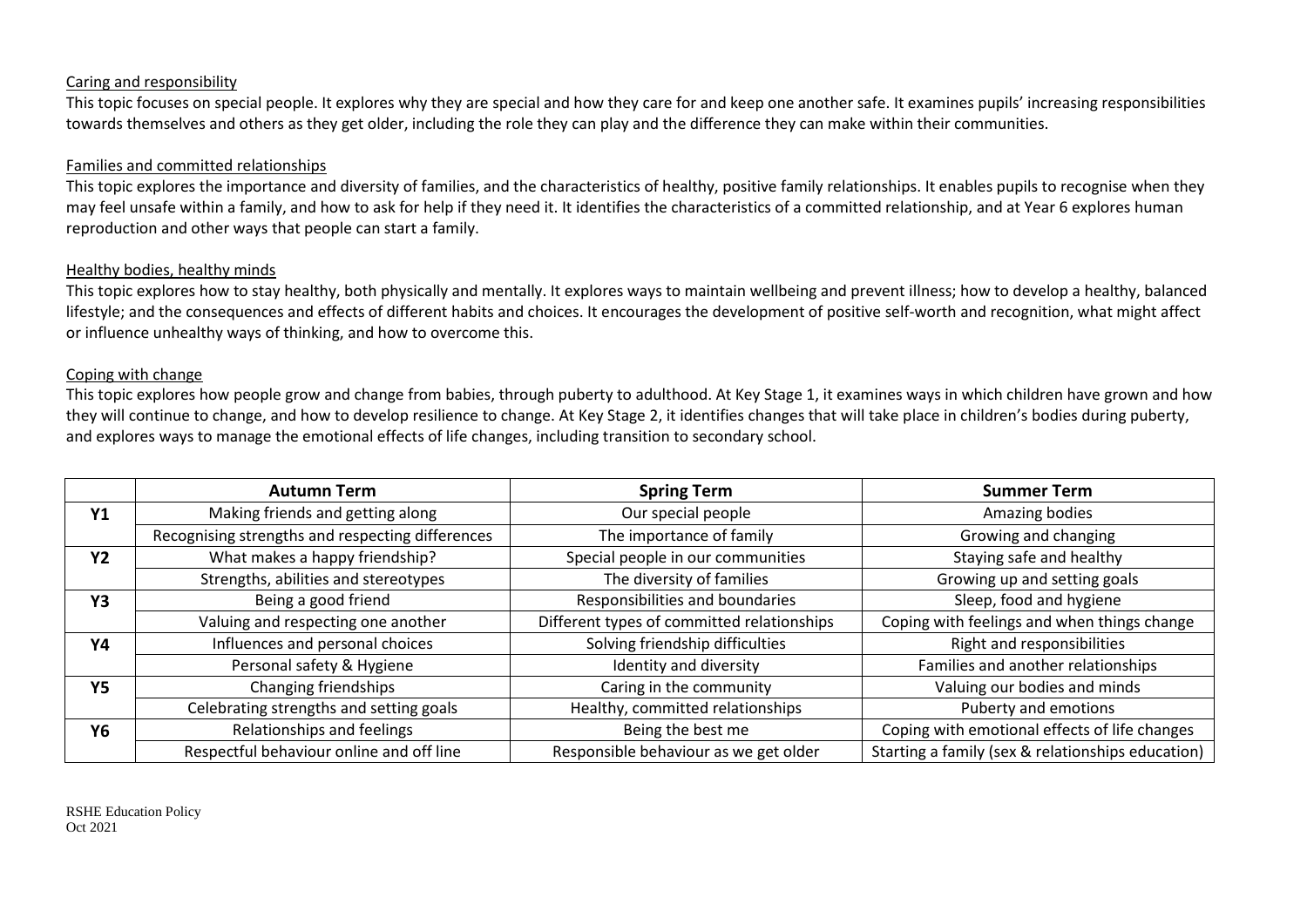#### Caring and responsibility

This topic focuses on special people. It explores why they are special and how they care for and keep one another safe. It examines pupils' increasing responsibilities towards themselves and others as they get older, including the role they can play and the difference they can make within their communities.

#### Families and committed relationships

This topic explores the importance and diversity of families, and the characteristics of healthy, positive family relationships. It enables pupils to recognise when they may feel unsafe within a family, and how to ask for help if they need it. It identifies the characteristics of a committed relationship, and at Year 6 explores human reproduction and other ways that people can start a family.

#### Healthy bodies, healthy minds

This topic explores how to stay healthy, both physically and mentally. It explores ways to maintain wellbeing and prevent illness; how to develop a healthy, balanced lifestyle; and the consequences and effects of different habits and choices. It encourages the development of positive self-worth and recognition, what might affect or influence unhealthy ways of thinking, and how to overcome this.

#### Coping with change

This topic explores how people grow and change from babies, through puberty to adulthood. At Key Stage 1, it examines ways in which children have grown and how they will continue to change, and how to develop resilience to change. At Key Stage 2, it identifies changes that will take place in children's bodies during puberty, and explores ways to manage the emotional effects of life changes, including transition to secondary school.

|           | <b>Autumn Term</b>                               | <b>Spring Term</b>                         | <b>Summer Term</b>                                |
|-----------|--------------------------------------------------|--------------------------------------------|---------------------------------------------------|
| <b>Y1</b> | Making friends and getting along                 | Our special people                         | Amazing bodies                                    |
|           | Recognising strengths and respecting differences | The importance of family                   | Growing and changing                              |
| <b>Y2</b> | What makes a happy friendship?                   | Special people in our communities          | Staying safe and healthy                          |
|           | Strengths, abilities and stereotypes             | The diversity of families                  | Growing up and setting goals                      |
| <b>Y3</b> | Being a good friend                              | Responsibilities and boundaries            | Sleep, food and hygiene                           |
|           | Valuing and respecting one another               | Different types of committed relationships | Coping with feelings and when things change       |
| Υ4        | Influences and personal choices                  | Solving friendship difficulties            | Right and responsibilities                        |
|           | Personal safety & Hygiene                        | Identity and diversity                     | Families and another relationships                |
| <b>Y5</b> | Changing friendships                             | Caring in the community                    | Valuing our bodies and minds                      |
|           | Celebrating strengths and setting goals          | Healthy, committed relationships           | Puberty and emotions                              |
| Y6        | Relationships and feelings                       | Being the best me                          | Coping with emotional effects of life changes     |
|           | Respectful behaviour online and off line         | Responsible behaviour as we get older      | Starting a family (sex & relationships education) |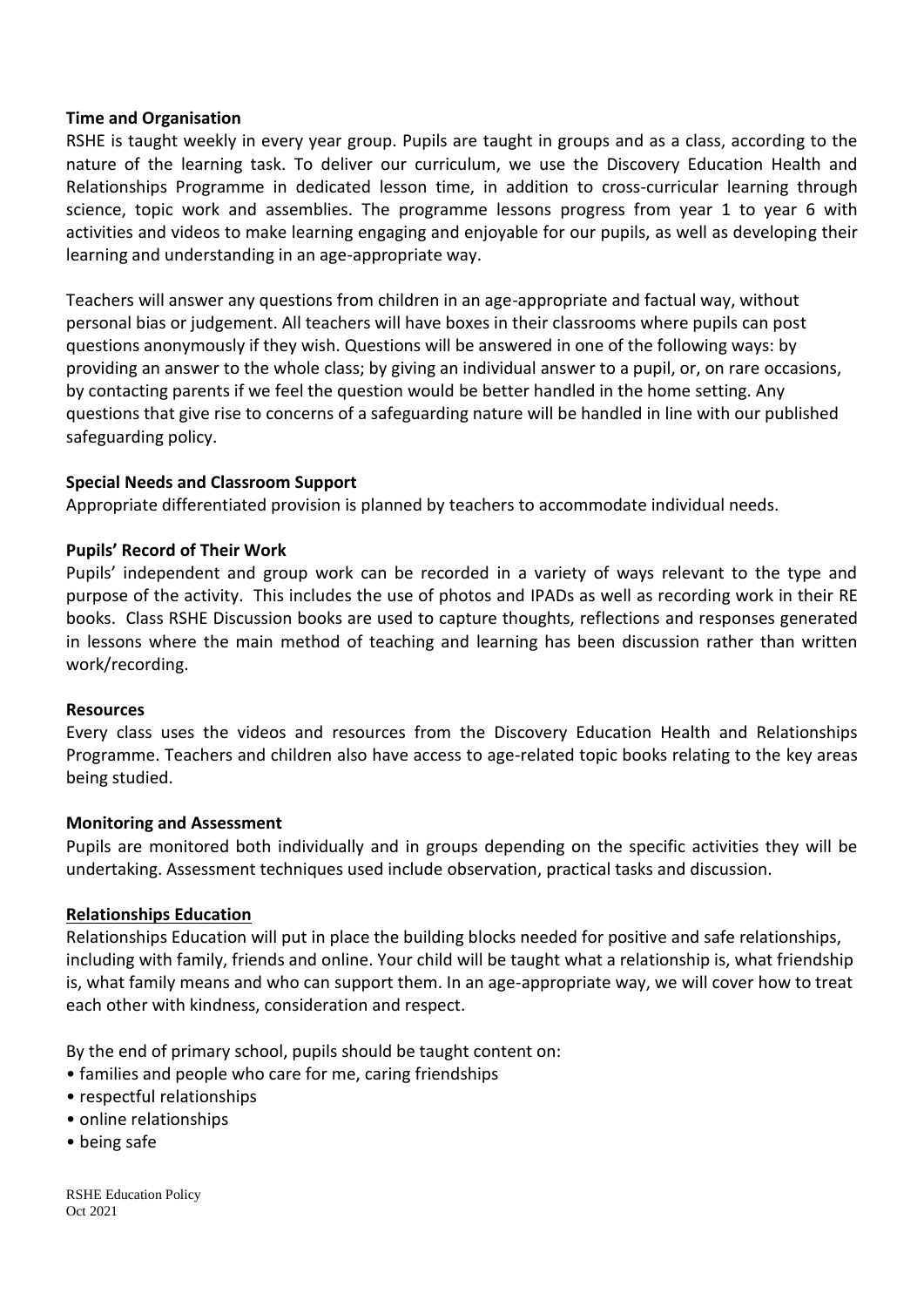#### **Time and Organisation**

RSHE is taught weekly in every year group. Pupils are taught in groups and as a class, according to the nature of the learning task. To deliver our curriculum, we use the Discovery Education Health and Relationships Programme in dedicated lesson time, in addition to cross-curricular learning through science, topic work and assemblies. The programme lessons progress from year 1 to year 6 with activities and videos to make learning engaging and enjoyable for our pupils, as well as developing their learning and understanding in an age-appropriate way.

Teachers will answer any questions from children in an age-appropriate and factual way, without personal bias or judgement. All teachers will have boxes in their classrooms where pupils can post questions anonymously if they wish. Questions will be answered in one of the following ways: by providing an answer to the whole class; by giving an individual answer to a pupil, or, on rare occasions, by contacting parents if we feel the question would be better handled in the home setting. Any questions that give rise to concerns of a safeguarding nature will be handled in line with our published safeguarding policy.

#### **Special Needs and Classroom Support**

Appropriate differentiated provision is planned by teachers to accommodate individual needs.

#### **Pupils' Record of Their Work**

Pupils' independent and group work can be recorded in a variety of ways relevant to the type and purpose of the activity. This includes the use of photos and IPADs as well as recording work in their RE books. Class RSHE Discussion books are used to capture thoughts, reflections and responses generated in lessons where the main method of teaching and learning has been discussion rather than written work/recording.

#### **Resources**

Every class uses the videos and resources from the Discovery Education Health and Relationships Programme. Teachers and children also have access to age-related topic books relating to the key areas being studied.

#### **Monitoring and Assessment**

Pupils are monitored both individually and in groups depending on the specific activities they will be undertaking. Assessment techniques used include observation, practical tasks and discussion.

#### **Relationships Education**

Relationships Education will put in place the building blocks needed for positive and safe relationships, including with family, friends and online. Your child will be taught what a relationship is, what friendship is, what family means and who can support them. In an age-appropriate way, we will cover how to treat each other with kindness, consideration and respect.

By the end of primary school, pupils should be taught content on:

- families and people who care for me, caring friendships
- respectful relationships
- online relationships
- being safe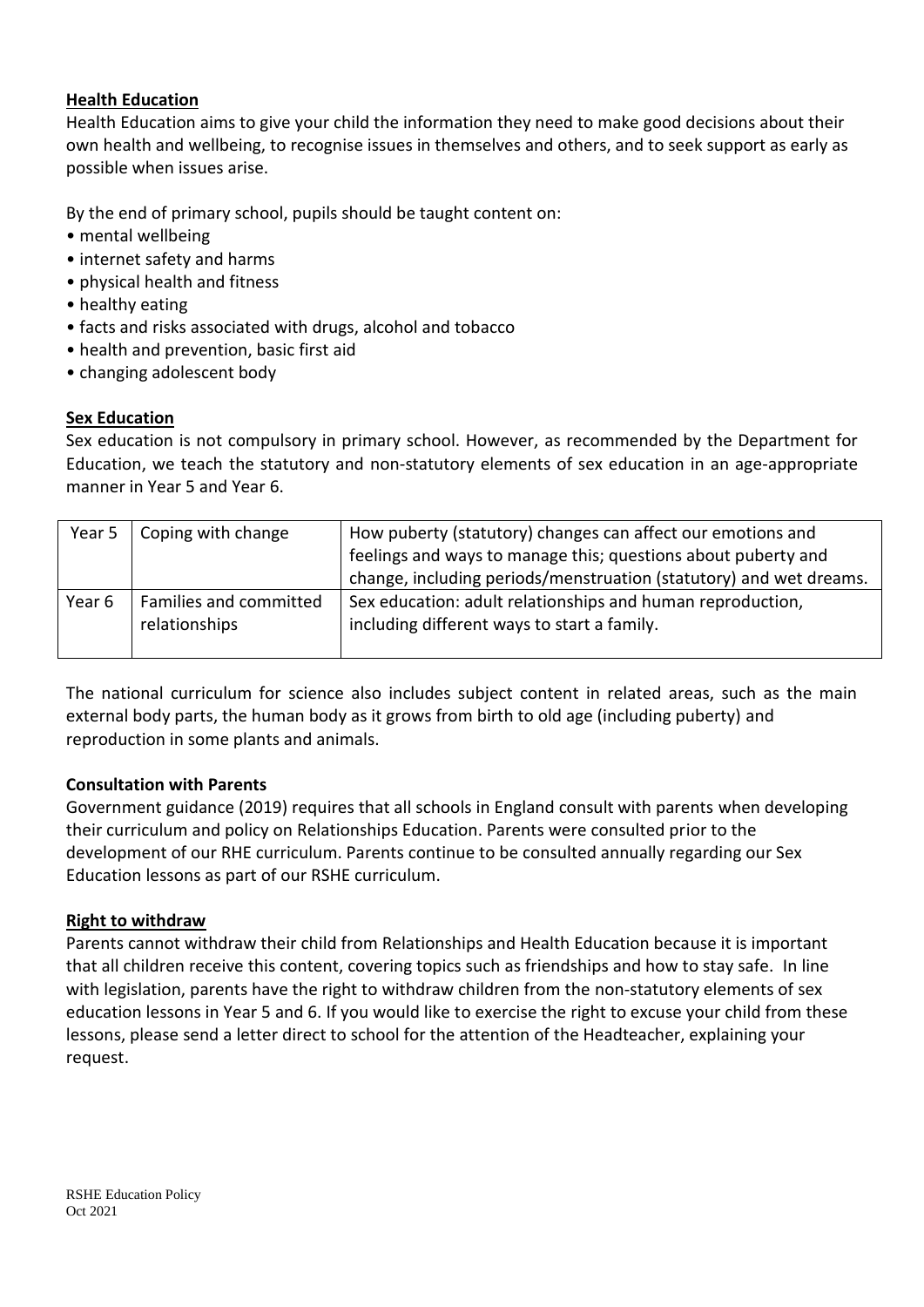#### **Health Education**

Health Education aims to give your child the information they need to make good decisions about their own health and wellbeing, to recognise issues in themselves and others, and to seek support as early as possible when issues arise.

By the end of primary school, pupils should be taught content on:

- mental wellbeing
- internet safety and harms
- physical health and fitness
- healthy eating
- facts and risks associated with drugs, alcohol and tobacco
- health and prevention, basic first aid
- changing adolescent body

#### **Sex Education**

Sex education is not compulsory in primary school. However, as recommended by the Department for Education, we teach the statutory and non-statutory elements of sex education in an age-appropriate manner in Year 5 and Year 6.

| Year 5 $\vert$    | Coping with change                      | How puberty (statutory) changes can affect our emotions and                                               |  |
|-------------------|-----------------------------------------|-----------------------------------------------------------------------------------------------------------|--|
|                   |                                         | feelings and ways to manage this; questions about puberty and                                             |  |
|                   |                                         | change, including periods/menstruation (statutory) and wet dreams.                                        |  |
| Year <sub>6</sub> | Families and committed<br>relationships | Sex education: adult relationships and human reproduction,<br>including different ways to start a family. |  |

The national curriculum for science also includes subject content in related areas, such as the main external body parts, the human body as it grows from birth to old age (including puberty) and reproduction in some plants and animals.

#### **Consultation with Parents**

Government guidance (2019) requires that all schools in England consult with parents when developing their curriculum and policy on Relationships Education. Parents were consulted prior to the development of our RHE curriculum. Parents continue to be consulted annually regarding our Sex Education lessons as part of our RSHE curriculum.

#### **Right to withdraw**

Parents cannot withdraw their child from Relationships and Health Education because it is important that all children receive this content, covering topics such as friendships and how to stay safe. In line with legislation, parents have the right to withdraw children from the non-statutory elements of sex education lessons in Year 5 and 6. If you would like to exercise the right to excuse your child from these lessons, please send a letter direct to school for the attention of the Headteacher, explaining your request.